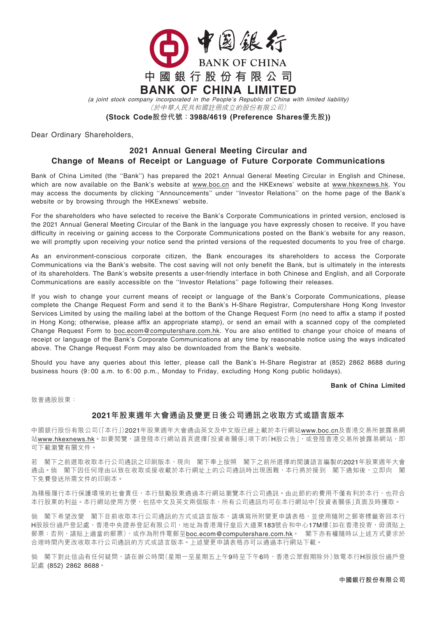

(a joint stock company incorporated in the People'<sup>s</sup> Republic of China with limited liability)

(於中華人民共和國註冊成立的股份有限公司)

(Stock Code股份代號:3988/4619 (Preference Shares優先股))

Dear Ordinary Shareholders,

## 2021 Annual General Meeting Circular and Change of Means of Receipt or Language of Future Corporate Communications

Bank of China Limited (the ''Bank'') has prepared the 2021 Annual General Meeting Circular in English and Chinese, which are now available on the Bank's website at www.boc.cn and the HKExnews' website at www.hkexnews.hk. You may access the documents by clicking ''Announcements'' under ''Investor Relations'' on the home page of the Bank's website or by browsing through the HKExnews' website.

For the shareholders who have selected to receive the Bank's Corporate Communications in printed version, enclosed is the 2021 Annual General Meeting Circular of the Bank in the language you have expressly chosen to receive. If you have difficulty in receiving or gaining access to the Corporate Communications posted on the Bank's website for any reason, we will promptly upon receiving your notice send the printed versions of the requested documents to you free of charge.

As an environment-conscious corporate citizen, the Bank encourages its shareholders to access the Corporate Communications via the Bank's website. The cost saving will not only benefit the Bank, but is ultimately in the interests of its shareholders. The Bank's website presents a user-friendly interface in both Chinese and English, and all Corporate Communications are easily accessible on the ''Investor Relations'' page following their releases.

If you wish to change your current means of receipt or language of the Bank's Corporate Communications, please complete the Change Request Form and send it to the Bank's H-Share Registrar, Computershare Hong Kong Investor Services Limited by using the mailing label at the bottom of the Change Request Form (no need to affix a stamp if posted in Hong Kong; otherwise, please affix an appropriate stamp), or send an email with a scanned copy of the completed Change Request Form to boc.ecom@computershare.com.hk. You are also entitled to change your choice of means of receipt or language of the Bank's Corporate Communications at any time by reasonable notice using the ways indicated above. The Change Request Form may also be downloaded from the Bank's website.

Should you have any queries about this letter, please call the Bank's H-Share Registrar at (852) 2862 8688 during business hours (9: 00 a.m. to 6: 00 p.m., Monday to Friday, excluding Hong Kong public holidays).

## Bank of China Limited

致普通股股東:

## 2021年股東週年大會通函及變更日後公司通訊之收取方式或語言版本

中國銀行股份有限公司(「本行」)2021年股東週年大會通函英文及中文版已經上載於本行網站www.boc.cn及香港交易所披露易網 站www.hkexnews.hk。如要閲覽,請登陸本行網站首頁選擇「投資者關係」項下的「H股公告」,或登陸香港交易所披露易網站,即 可下載瀏覽有關文件。

若 閣下之前選取收取本行公司通訊之印刷版本,現向 閣下奉上按照 閣下之前所選擇的閱讀語言編製的2021年股東週年大會 通函。倘 閣下因任何理由以致在收取或接收載於本行網址上的公司通訊時出現困難,本行將於接到 閣下通知後,立即向 閣 下免費發送所需文件的印刷本。

為積極履行本行保護環境的社會責任,本行鼓勵股東通過本行網站瀏覽本行公司通訊。由此節約的費用不僅有利於本行,也符合 本行股東的利益。本行網站使用方便,包括中文及英文兩個版本,所有公司通訊均可在本行網站中「投資者關係」頁面及時獲取。

倘 閣下希望改變 閣下目前收取本行公司通訊的方式或語言版本,請填寫所附變更申請表格,並使用隨附之郵寄標籤寄回本行 H股股份過戶登記處,香港中央證券登記有限公司,地址為香港灣仔皇后大道東183號合和中心17M樓(如在香港投寄,毋須貼上 郵票;否則,請貼上適當的郵票),或作為附件電郵至boc.ecom@computershare.com.hk。 閣下亦有權隨時以上述方式要求於 合理時間內更改收取本行公司通訊的方式或語言版本。上述變更申請表格亦可以通過本行網站下載。

倘 閣下對此信函有任何疑問,請在辦公時間(星期一至星期五上午9時至下午6時,香港公眾假期除外)致電本行H股股份過戶登 記處 (852) 2862 8688。